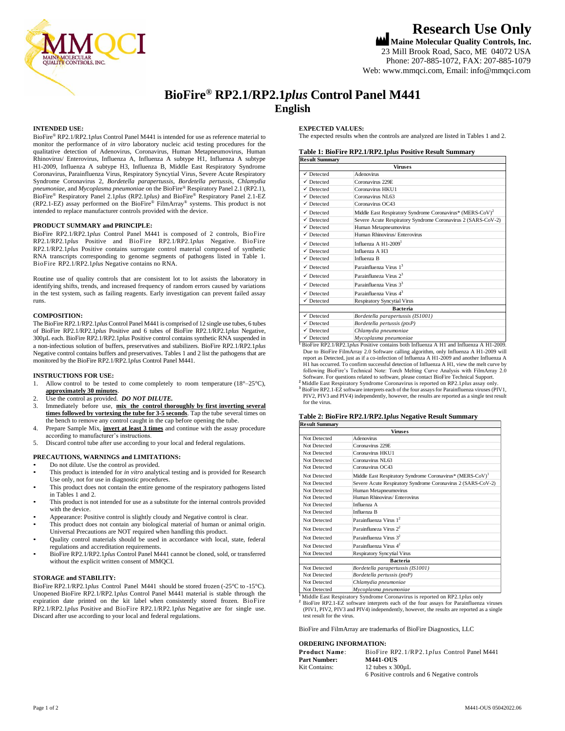

# **Research Use Only**

**Maine Molecular Quality Controls, Inc.** 23 Mill Brook Road, Saco, ME 04072 USA Phone: 207-885-1072, FAX: 207-885-1079 Web[: www.mmqci.com,](http://www.mmqci.com/) Email[: info@mmqci.com](mailto:info@mmqci.com)

# **BioFire® RP2.1/RP2.1***plus* **Control Panel M441 English**

### **INTENDED USE:**

BioFire® RP2.1/RP2.1*plus* Control Panel M441 is intended for use as reference material to monitor the performance of *in vitro* laboratory nucleic acid testing procedures for the qualitative detection of Adenovirus, Coronavirus, Human Metapneumovirus, Human Rhinovirus/ Enterovirus, Influenza A, Influenza A subtype H1, Influenza A subtype H1-2009, Influenza A subtype H3, Influenza B, Middle East Respiratory Syndrome Coronavirus, Parainfluenza Virus, Respiratory Syncytial Virus, Severe Acute Respiratory Syndrome Coronavirus 2, *Bordetella parapertussis, Bordetella pertussis*, *Chlamydia pneumoniae*, and *Mycoplasma pneumoniae* on the BioFire® Respiratory Panel 2.1 (RP2.1), BioFire® Respiratory Panel 2.1*plus* (RP2.1*plus)* and BioFire® Respiratory Panel 2.1-EZ (RP2.1-EZ) assay performed on the BioFire® FilmArray® systems. This product is not intended to replace manufacturer controls provided with the device.

### **PRODUCT SUMMARY and PRINCIPLE:**

BioFire RP2.1/RP2.1*plus* Control Panel M441 is composed of 2 controls, BioFire RP2.1/RP2.1*plus* Positive and BioFire RP2.1/RP2.1*plus* Negative. BioFire RP2.1/RP2.1*plus* Positive contains surrogate control material composed of synthetic RNA transcripts corresponding to genome segments of pathogens listed in Table 1. BioFire RP2.1/RP2.1*plus* Negative contains no RNA.

Routine use of quality controls that are consistent lot to lot assists the laboratory in identifying shifts, trends, and increased frequency of random errors caused by variations in the test system, such as failing reagents. Early investigation can prevent failed assay runs.

### **COMPOSITION:**

The BioFire RP2.1/RP2.1*plus* Control Panel M441 is comprised of 12 single use tubes, 6 tubes of BioFire RP2.1/RP2.1*plus* Positive and 6 tubes of BioFire RP2.1/RP2.1*plus* Negative, 300µL each. BioFire RP2.1/RP2.1*plus* Positive control contains synthetic RNA suspended in a non-infectious solution of buffers, preservatives and stabilizers. BioFire RP2.1/RP2.1*plus* Negative control contains buffers and preservatives. Tables 1 and 2 list the pathogens that are monitored by the BioFire RP2.1/RP2.1*plus* Control Panel M441.

### **INSTRUCTIONS FOR USE:**

- 1. Allow control to be tested to come completely to room temperature  $(18^{\circ}-25^{\circ}C)$ , **approximately 30 minutes**.
- 2. Use the control as provided. *DO NOT DILUTE.*
- 3. Immediately before use, **mix the control thoroughly by first inverting several times followed by vortexing the tube for 3-5 seconds**. Tap the tube several times on the bench to remove any control caught in the cap before opening the tube.
- 4. Prepare Sample Mix, **invert at least 3 times** and continue with the assay procedure according to manufacturer's instructions.
- 5. Discard control tube after use according to your local and federal regulations.

# **PRECAUTIONS, WARNINGS and LIMITATIONS:**

- Do not dilute. Use the control as provided.
- This product is intended for *in vitro* analytical testing and is provided for Research Use only, not for use in diagnostic procedures.
- This product does not contain the entire genome of the respiratory pathogens listed in Tables 1 and 2.
- This product is not intended for use as a substitute for the internal controls provided with the device.
- Appearance: Positive control is slightly cloudy and Negative control is clear. This product does not contain any biological material of human or animal origin.
- Universal Precautions are NOT required when handling this product. • Quality control materials should be used in accordance with local, state, federal
- regulations and accreditation requirements.
- BioFire RP2.1/RP2.1*plus* Control Panel M441 cannot be cloned, sold, or transferred without the explicit written consent of MMQCI.

# **STORAGE and STABILITY:**

BioFire RP2.1/RP2.1*plus* Control Panel M441 should be stored frozen (-25°C to -15°C). Unopened BioFire RP2.1/RP2.1*plus* Control Panel M441 material is stable through the expiration date printed on the kit label when consistently stored frozen. BioFire RP2.1/RP2.1*plus* Positive and BioFire RP2.1/RP2.1*plus* Negative are for single use. Discard after use according to your local and federal regulations.

### **EXPECTED VALUES:**

The expected results when the controls are analyzed are listed in Tables 1 and 2.

# **Table 1: BioFire RP2.1/RP2.1***plus* **Positive Result Summary**

| <b>Result Summary</b><br>Viruses |                                                                       |  |
|----------------------------------|-----------------------------------------------------------------------|--|
|                                  |                                                                       |  |
| $\checkmark$ Detected            | Coronavirus 229E                                                      |  |
| $\checkmark$ Detected            | Coronavirus HKU1                                                      |  |
| $\checkmark$ Detected            | Coronavirus NL63                                                      |  |
| $\checkmark$ Detected            | Coronavirus OC43                                                      |  |
| $\checkmark$ Detected            | Middle East Respiratory Syndrome Coronavirus* (MERS-CoV) <sup>2</sup> |  |
| $\checkmark$ Detected            | Severe Acute Respiratory Syndrome Coronavirus 2 (SARS-CoV-2)          |  |
| $\checkmark$ Detected            | Human Metapneumovirus                                                 |  |
| $\checkmark$ Detected            | Human Rhinovirus/ Enterovirus                                         |  |
| $\checkmark$ Detected            | Influenza A $H1-2009$ <sup>1</sup>                                    |  |
| $\checkmark$ Detected            | Influenza A H3                                                        |  |
| $\checkmark$ Detected            | Influenza B                                                           |  |
| $\checkmark$ Detected            | Parainfluenza Virus 1 <sup>3</sup>                                    |  |
| $\checkmark$ Detected            | Parainfluneza Virus 2 <sup>3</sup>                                    |  |
| $\checkmark$ Detected            | Parainfluenza Virus 3 <sup>3</sup>                                    |  |
| $\checkmark$ Detected            | Parainfluenza Virus 4 <sup>3</sup>                                    |  |
| $\checkmark$ Detected            | <b>Respiratory Syncytial Virus</b>                                    |  |
|                                  | <b>Bacteria</b>                                                       |  |
| $\checkmark$ Detected            | Bordetella parapertussis (IS1001)                                     |  |
| $\checkmark$ Detected            | Bordetella pertussis (ptxP)                                           |  |
| $\checkmark$ Detected            | Chlamydia pneumoniae                                                  |  |
| $\sqrt{D_{\text{obsated}}}$      |                                                                       |  |

**<sup>1</sup>**BioFire RP2.1/RP2.1*plus* Positive contains both Influenza A H1 and Influenza A H1-2009. ✓ Detected *Mycoplasma pneumoniae* Due to BioFire FilmArray 2.0 Software calling algorithm, only Influenza A H1-2009 will report as Detected, just as if a co-infection of Influenza A H1-2009 and another Influenza A H1 has occurred. To confirm successful detection of Influenza A H1, view the melt curve by following BioFire's Technical Note: Torch Melting Curve Analysis with FilmArray 2.0 Software. For questions related to software, please contact BioFire Technical Support. **<sup>2</sup>**Middle East Respiratory Syndrome Coronavirus is reported on RP2.1*plus* assay only.

**<sup>3</sup>** BioFire RP2.1-EZ software interprets each of the four assays for Parainfluenza viruses (PIV1, PIV2, PIV3 and PIV4) independently, however, the results are reported as a single test result for the virus.

# **Table 2: BioFire RP2.1/RP2.1***plus* **Negative Result Summary**

| <b>Result Summary</b><br>Viruses |                                                                       |  |
|----------------------------------|-----------------------------------------------------------------------|--|
|                                  |                                                                       |  |
| Not Detected                     | Coronavirus 229E                                                      |  |
| Not Detected                     | Coronavirus HKU1                                                      |  |
| Not Detected                     | Coronavirus NL63                                                      |  |
| Not Detected                     | Coronavirus OC43                                                      |  |
| Not Detected                     | Middle East Respiratory Syndrome Coronavirus* (MERS-CoV) <sup>1</sup> |  |
| Not Detected                     | Severe Acute Respiratory Syndrome Coronavirus 2 (SARS-CoV-2)          |  |
| Not Detected                     | Human Metapneumovirus                                                 |  |
| Not Detected                     | Human Rhinovirus/ Enterovirus                                         |  |
| Not Detected                     | Influenza A                                                           |  |
| Not Detected                     | Influenza B                                                           |  |
| Not Detected                     | Parainfluenza Virus 1 <sup>2</sup>                                    |  |
| Not Detected                     | Parainfluneza Virus $2^2$                                             |  |
| Not Detected                     | Parainfluenza Virus $3^2$                                             |  |
| Not Detected                     | Parainfluenza Virus $4^2$                                             |  |
| Not Detected                     | Respiratory Syncytial Virus                                           |  |
| <b>Bacteria</b>                  |                                                                       |  |
| Not Detected                     | Bordetella parapertussis (IS1001)                                     |  |
| Not Detected                     | Bordetella pertussis (ptxP)                                           |  |
| Not Detected                     | Chlamydia pneumoniae                                                  |  |
| Not Detected                     | Mycoplasma pneumoniae                                                 |  |

**<sup>1</sup>**Middle East Respiratory Syndrome Coronavirus is reported on RP2.1*plus* only

**<sup>2</sup>** BioFire RP2.1-EZ software interprets each of the four assays for Parainfluenza viruses (PIV1, PIV2, PIV3 and PIV4) independently, however, the results are reported as a single test result for the virus.

BioFire and FilmArray are trademarks of BioFire Diagnostics, LLC

### **ORDERING INFORMATION:**

| <u>onden to ha onder the</u> |                                             |  |
|------------------------------|---------------------------------------------|--|
| Product Name:                | BioFire RP2.1/RP2.1plus Control Panel M441  |  |
| <b>Part Number:</b>          | <b>M441-OUS</b>                             |  |
| Kit Contains:                | 12 tubes $x$ 300 $u$ L                      |  |
|                              | 6 Positive controls and 6 Negative controls |  |